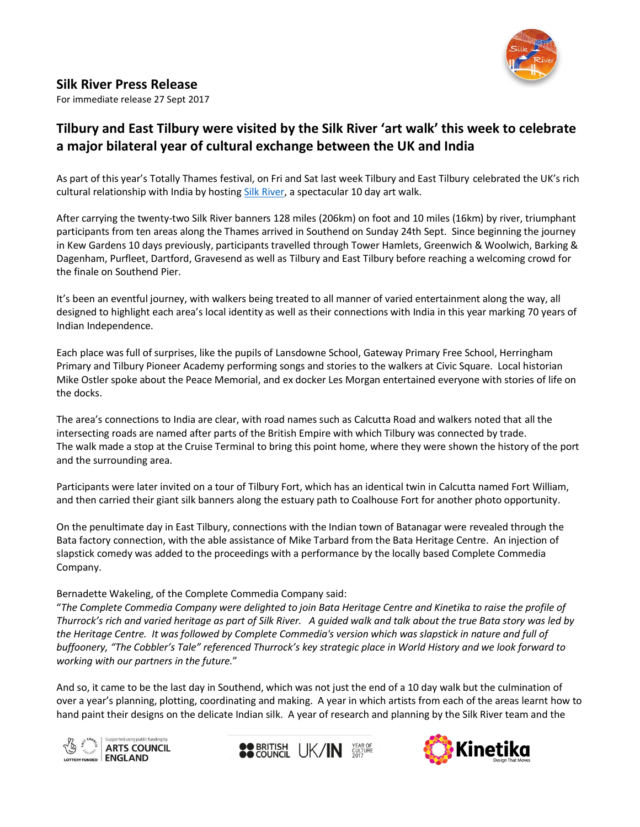

## **Silk River Press Release**

For immediate release 27 Sept 2017

# **Tilbury and East Tilbury were visited by the Silk River 'art walk' this week to celebrate a major bilateral year of cultural exchange between the UK and India**

As part of this year's Totally Thames festival, on Fri and Sat last week Tilbury and East Tilbury celebrated the UK's rich cultural relationship with India by hostin[g Silk River,](http://www.silkriver.co.uk/) a spectacular 10 day art walk.

After carrying the twenty-two Silk River banners 128 miles (206km) on foot and 10 miles (16km) by river, triumphant participants from ten areas along the Thames arrived in Southend on Sunday 24th Sept. Since beginning the journey in Kew Gardens 10 days previously, participants travelled through Tower Hamlets, Greenwich & Woolwich, Barking & Dagenham, Purfleet, Dartford, Gravesend as well as Tilbury and East Tilbury before reaching a welcoming crowd for the finale on Southend Pier.

It's been an eventful journey, with walkers being treated to all manner of varied entertainment along the way, all designed to highlight each area's local identity as well as their connections with India in this year marking 70 years of Indian Independence.

Each place was full of surprises, like the pupils of Lansdowne School, Gateway Primary Free School, Herringham Primary and Tilbury Pioneer Academy performing songs and stories to the walkers at Civic Square. Local historian Mike Ostler spoke about the Peace Memorial, and ex docker Les Morgan entertained everyone with stories of life on the docks.

The area's connections to India are clear, with road names such as Calcutta Road and walkers noted that all the intersecting roads are named after parts of the British Empire with which Tilbury was connected by trade. The walk made a stop at the Cruise Terminal to bring this point home, where they were shown the history of the port and the surrounding area.

Participants were later invited on a tour of Tilbury Fort, which has an identical twin in Calcutta named Fort William, and then carried their giant silk banners along the estuary path to Coalhouse Fort for another photo opportunity.

On the penultimate day in East Tilbury, connections with the Indian town of Batanagar were revealed through the Bata factory connection, with the able assistance of Mike Tarbard from the Bata Heritage Centre. An injection of slapstick comedy was added to the proceedings with a performance by the locally based Complete Commedia Company.

### Bernadette Wakeling, of the Complete Commedia Company said:

"*The Complete Commedia Company were delighted to join Bata Heritage Centre and Kinetika to raise the profile of Thurrock's rich and varied heritage as part of Silk River. A guided walk and talk about the true Bata story was led by the Heritage Centre. It was followed by Complete Commedia's version which was slapstick in nature and full of buffoonery, "The Cobbler's Tale" referenced Thurrock's key strategic place in World History and we look forward to working with our partners in the future.*"

And so, it came to be the last day in Southend, which was not just the end of a 10 day walk but the culmination of over a year's planning, plotting, coordinating and making. A year in which artists from each of the areas learnt how to hand paint their designs on the delicate Indian silk. A year of research and planning by the Silk River team and the





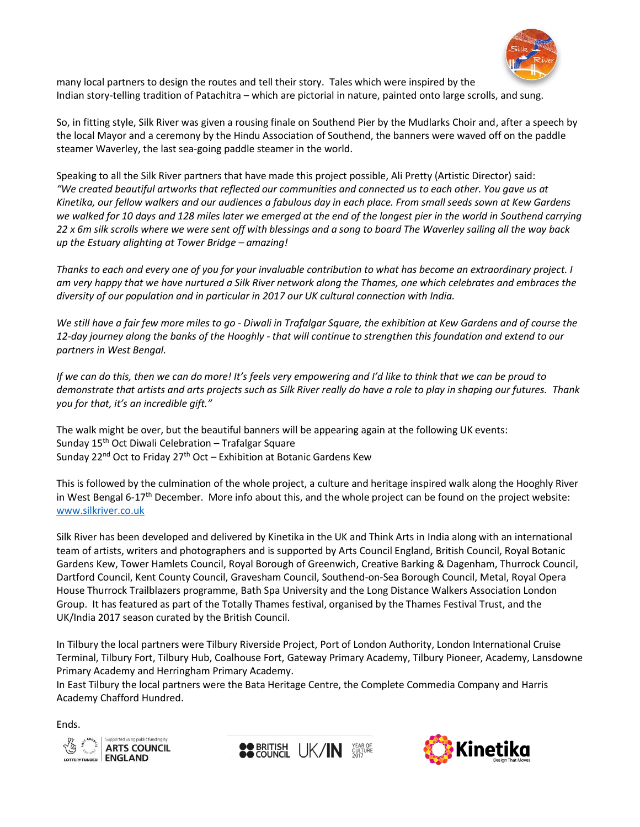

many local partners to design the routes and tell their story. Tales which were inspired by the Indian story-telling tradition of Patachitra – which are pictorial in nature, painted onto large scrolls, and sung.

So, in fitting style, Silk River was given a rousing finale on Southend Pier by the Mudlarks Choir and, after a speech by the local Mayor and a ceremony by the Hindu Association of Southend, the banners were waved off on the paddle steamer Waverley, the last sea-going paddle steamer in the world.

Speaking to all the Silk River partners that have made this project possible, Ali Pretty (Artistic Director) said: *"We created beautiful artworks that reflected our communities and connected us to each other. You gave us at Kinetika, our fellow walkers and our audiences a fabulous day in each place. From small seeds sown at Kew Gardens we walked for 10 days and 128 miles later we emerged at the end of the longest pier in the world in Southend carrying 22 x 6m silk scrolls where we were sent off with blessings and a song to board The Waverley sailing all the way back up the Estuary alighting at Tower Bridge – amazing!*

*Thanks to each and every one of you for your invaluable contribution to what has become an extraordinary project. I am very happy that we have nurtured a Silk River network along the Thames, one which celebrates and embraces the diversity of our population and in particular in 2017 our UK cultural connection with India.*

*We still have a fair few more miles to go - Diwali in Trafalgar Square, the exhibition at Kew Gardens and of course the 12-day journey along the banks of the Hooghly - that will continue to strengthen this foundation and extend to our partners in West Bengal.*

*If we can do this, then we can do more! It's feels very empowering and I'd like to think that we can be proud to demonstrate that artists and arts projects such as Silk River really do have a role to play in shaping our futures. Thank you for that, it's an incredible gift."*

The walk might be over, but the beautiful banners will be appearing again at the following UK events: Sunday  $15<sup>th</sup>$  Oct Diwali Celebration – Trafalgar Square Sunday 22<sup>nd</sup> Oct to Friday 27<sup>th</sup> Oct – Exhibition at Botanic Gardens Kew

This is followed by the culmination of the whole project, a culture and heritage inspired walk along the Hooghly River in West Bengal 6-17<sup>th</sup> December. More info about this, and the whole project can be found on the project website: [www.silkriver.co.uk](http://www.silkriver.co.uk/)

Silk River has been developed and delivered by Kinetika in the UK and Think Arts in India along with an international team of artists, writers and photographers and is supported by Arts Council England, British Council, Royal Botanic Gardens Kew, Tower Hamlets Council, Royal Borough of Greenwich, Creative Barking & Dagenham, Thurrock Council, Dartford Council, Kent County Council, Gravesham Council, Southend-on-Sea Borough Council, Metal, Royal Opera House Thurrock Trailblazers programme, Bath Spa University and the Long Distance Walkers Association London Group. It has featured as part of the Totally Thames festival, organised by the Thames Festival Trust, and the UK/India 2017 season curated by the British Council.

In Tilbury the local partners were Tilbury Riverside Project, Port of London Authority, London International Cruise Terminal, Tilbury Fort, Tilbury Hub, Coalhouse Fort, Gateway Primary Academy, Tilbury Pioneer, Academy, Lansdowne Primary Academy and Herringham Primary Academy.

In East Tilbury the local partners were the Bata Heritage Centre, the Complete Commedia Company and Harris Academy Chafford Hundred.

Ends.





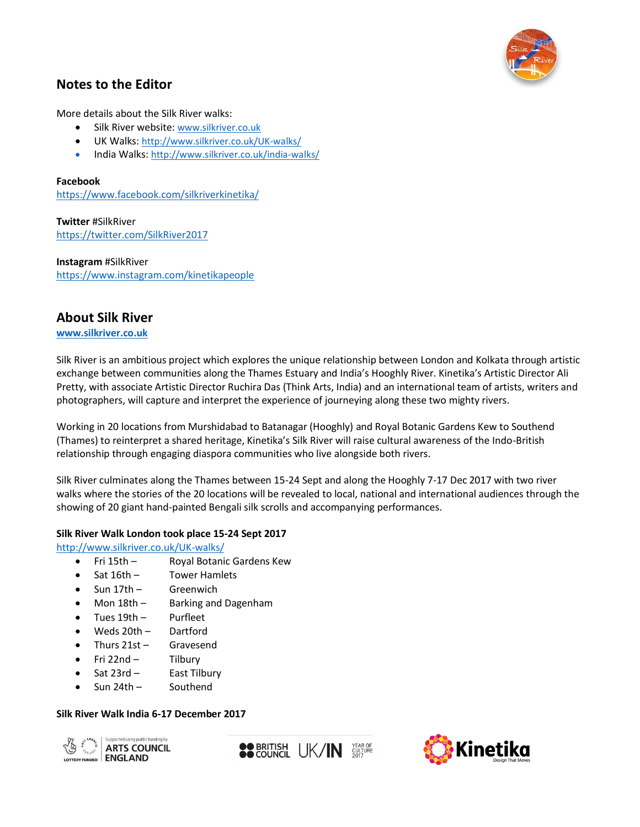

## **Notes to the Editor**

More details about the Silk River walks:

- Silk River website: [www.silkriver.co.uk](http://www.silkriver.co.uk/)
- UK Walks: <http://www.silkriver.co.uk/UK-walks/>
- India Walks: <http://www.silkriver.co.uk/india-walks/>

#### **Facebook**

<https://www.facebook.com/silkriverkinetika/>

**Twitter** #SilkRiver <https://twitter.com/SilkRiver2017>

**Instagram** #SilkRiver <https://www.instagram.com/kinetikapeople>

### **About Silk River**

**[www.silkriver.co.uk](http://www.silkriver.co.uk/)**

Silk River is an ambitious project which explores the unique relationship between London and Kolkata through artistic exchange between communities along the Thames Estuary and India's Hooghly River. Kinetika's Artistic Director Ali Pretty, with associate Artistic Director Ruchira Das (Think Arts, India) and an international team of artists, writers and photographers, will capture and interpret the experience of journeying along these two mighty rivers.

Working in 20 locations from Murshidabad to Batanagar (Hooghly) and Royal Botanic Gardens Kew to Southend (Thames) to reinterpret a shared heritage, Kinetika's Silk River will raise cultural awareness of the Indo-British relationship through engaging diaspora communities who live alongside both rivers.

Silk River culminates along the Thames between 15-24 Sept and along the Hooghly 7-17 Dec 2017 with two river walks where the stories of the 20 locations will be revealed to local, national and international audiences through the showing of 20 giant hand-painted Bengali silk scrolls and accompanying performances.

#### **Silk River Walk London took place 15-24 Sept 2017**

<http://www.silkriver.co.uk/UK-walks/>

- Fri 15th Royal Botanic Gardens Kew
- Sat 16th Tower Hamlets
- Sun 17th Greenwich
- Mon 18th Barking and Dagenham
- Tues 19th Purfleet
- Weds 20th Dartford
- Thurs 21st Gravesend
- Fri 22nd Tilbury
- Sat 23rd East Tilbury
- Sun 24th Southend

#### **Silk River Walk India 6-17 December 2017**